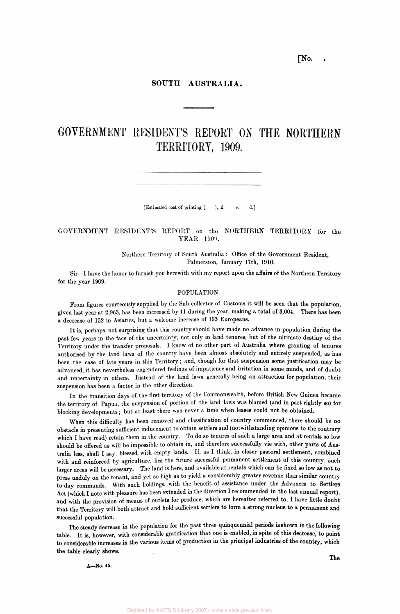# **[No. .**

# **SOUTH AUSTRALIA.**

# GOVERNMENT RESIDENT'S REPORT ON THE NORTHERN TERRITORY, 1909.

[Estimated cost of printing  $($  ), £ s. d.]

# GOVERNMENT RESIDENT'S REPORT on the NORTHERN TERRITORY for the YEAR 1909.

Northern Territory of South Australia : Office of the Government Resident, Palmerston, January 17th, 1910.

Sir—I have the honor to furnish you herewith with my report upon the affairs of the Northern Territory for the year 1909.

# POPULATION.

From figures courteously supplied by the Sub-collector of Customs it will be seen that the population, given last year at 2,963, has been increased by 41 during the year, making a total of 3,004. There has been a decrease of 152 in Asiatics, but a welcome increase of 193 Europeans.

It is, perhaps, not surprising that this country should have made no advance in population during the past few years in the face of the uncertainty, not only in land tenures, but of the ultimate destiny of the Territory under the transfer proposals. I know of no other part of Australia where granting of tenures authorised by the land laws of the country have been almost absolutely and entirely suspended, as has been the case of late years in this Territory; and, though for that suspension some justification may be advanced, it has nevertheless engendered feelings of impatience and irritation in some minds, and of doubt and uncertainty in others. Instead of the land laws generally being an attraction for population, their suspension has been a factor in the other direction.

In the transition days of the first territory of the Commonwealth, before British New Guinea became the territory of Papua, the suspension of portion of the land laws was blamed (and in part rightly so) for blocking developments; but at least there was never a time when leases could not be obtained.

When this difficulty has been removed and classification of country commenced, there should be no obstacle in presenting sufficient inducement to obtain settlers and (notwithstanding opinions to the contrary which I have read) retain them in the country. To do so tenures of such a large area and at rentals so low should be offered as will be impossible to obtain in, and therefore successfully vie with, other parts of Australia less, shall I say, blessed with empty lands. If, as I think, in closer pastoral settlement, combined with and reinforced by agriculture, lies the future successful permanent settlement of this country, such larger areas will be necessary. The land is here, and available at rentals which can be fixed so low as not to press unduly on the tenant, and yet so high as to yield a considerably greater revenue than similar country to-day commands. With such holdings, with the benefit of assistance under the Advances to Settlers Act (which I note with pleasure has been extended in the direction I recommended in the last annual report), and with the provision of means of outlets for produce, which are hereafter referred to, I have little doubt that the Territory will both attract and hold sufficient settlers to form a strong nucleus to a permanent and successful population.

The steady decrease in the population for the past three quinquennial periods is shown in the following table. It is, however, with considerable gratification that one is enabled, in spite of this decrease, to point to considerable increases in the various items of production in the principal industries of the country, which the table clearly shows.

A—No. 45.

The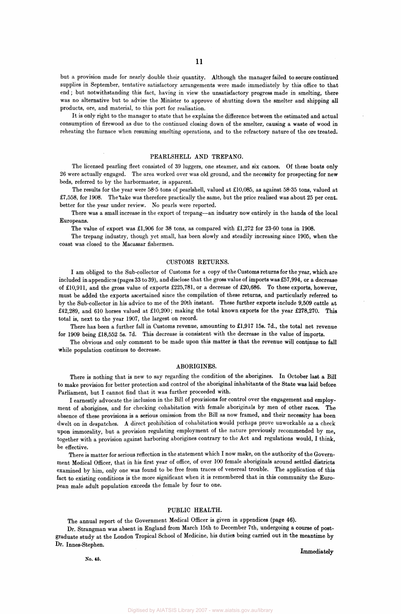but a provision made for nearly double their quantity. Although the manager failed to secure continued supplies in September, tentative satisfactory arrangements were made immediately by this office to that end; but notwithstanding this fact, having in view the unsatisfactory progress made in smelting, there was no alternative but to advise the Minister to approve of shutting down the smelter and shipping all products, ore, and material, to this port for realisation.

It is only right to the manager to state that he explains the difference between the estimated and actual consumption of firewood as due to the continued closing down of the smelter, causing a waste of wood in reheating the furnace when resuming smelting operations, and to the refractory nature of the ore treated.

# PEARLSHELL AND TREPANG.

The licensed pearling fleet consisted of 39 luggers, one steamer, and six canoes. Of these boats only 26 were actually engaged. The area worked over was old ground, and the necessity for prospecting for new beds, referred to by the harbormaster, is apparent.

The results for the year were 58-5 tons of pearlshell, valued at £10,085, as against 58-35 tons, valued at £7,558, for 1908. Thetake was therefore practically the same, but the price realised was about 25 per cent, better for the year under review. No pearls were reported.

There was a small increase in the export of trepang—an industry now entirely in the hands of the local Europeans.

The value of export was £1,906 for 38 tons, as compared with £1,272 for 23-60 tons in 1908.

The trepang industry, though yet small, has been slowly and steadily increasing since 1905, when the coast was closed to the Macassar fishermen.

### CUSTOMS RETURNS.

I am obliged to the Sub-collector of Customs for a copy of the Customs returns for the year, which are included in appendices (pages 33 to 39), and disclose that the gross value of imports was £57,994, or a decrease of £10,911, and the gross value of exports £225,781, or a decrease of £20,686. To these exports, however, must be added the exports ascertained since the compilation of these returns, and particularly referred to by the Sub-collector in his advice to me of the 20th instant. These further exports include 9,509 cattle at £42,289, and 610 horses valued at £10,200; making the total known exports for the year £278,270. This total is, next to the year 1907, the largest on record.

There has been a further fall in Customs revenue, amounting to £1,917 15s. 7d., the total net revenue for 1909 being £18,552 5s. 7d. This decrease is consistent with the decrease in the value of imports.

The obvious and only comment to be made upon this matter is that the revenue will continue to fall while population continues to decrease.

#### ABORIGINES.

There is nothing that is new to say regarding the condition of the aborigines. In October last a Bill to make provision for better protection and control of the aboriginal inhabitants of the State was laid before Parliament, but I cannot find that it was further proceeded with.

I earnestly advocate the inclusion in the Bill of provisions for control over the engagement and employment of aborigines, and for checking cohabitation with female aboriginals by men of other races. The absence of these provisions is a serious omission from the Bill as now framed, and their necessity has been dwelt on in despatches. A direct prohibition of cohabitation would perhaps prove unworkable as a check upon immorality, but a provision regulating employment of the nature previously recommended by me. together with a provision against harboring aborigines contrary to the Act and regulations would, I think, be effective.

There is matter for serious reflection in the statement which I now make, on the authority of the Government Medical Officer, that in his first year of office, of over 100 female aboriginals around settled districts examined by him, only one was found to be free from traces of venereal trouble. The application of this fact to existing conditions is the more significant when it is remembered that in this community the European male adult population exceeds the female by four to one.

## PUBLIC HEALTH.

The annual report of the Government Medical Officer is given in appendices (page 46).

Dr. Strangman was absent in England from March 15th to December 7th, undergoing a course of postgraduate study at the London Tropical School of Medicine, his duties being carried out in the meantime by Dr. Innes-Stephen.

**No. 45.** 

**Immediately**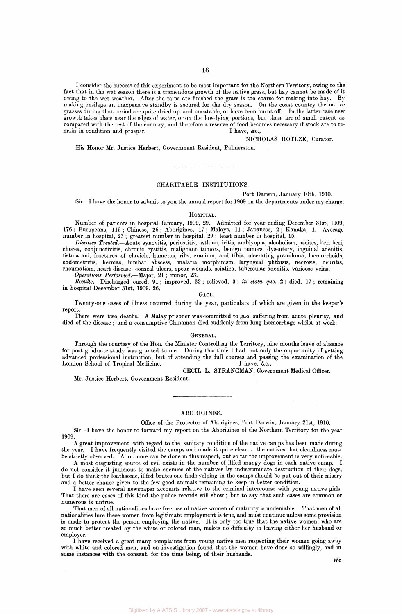I consider the success of this experiment to be most important for the Northern Territory, owing to the fact that in the wet season there is a tremendous growth of the native grass, but hay cannot be made of it owing to the wet weather. After the rains are finished the grass is too coarse for making into hay. By making ensilage an inexpensive standby is secured for the dry season. On the coast country the native grasses during that period are quite dried up and uneatable, or have been burnt off. In the latter case new growth takes place near the edges of water, or on the low-lying portions, but these are of small extent as compared with the rest of the country, and therefore a reserve of food becomes necessary if stock are to remain in condition and prosper. I have, &c.,

NICHOLAS HOTLZE, Curator.

His Honor Mr. Justice Herbert, Government Resident, Palmerston.

# CHARITABLE INSTITUTIONS.

Port Darwin, January 10th, 1910.

Sir—I have the honor to submit to you the annual report for 1909 on the departments under my charge.

# HOSPITAL.

Number of patients in hospital January, 1909, 29. Admitted for year ending December 31st, 1909, 176 : Europeans, 119 ; Chinese, 26 ; Aborigines, 17 ; Malays, 11 ; Japanese, 2 ; Kanaka, 1. Average number in hospital, 23 ; greatest number in hospital, 29 ; least number in hospital, 15.

*Diseases Treated.*—Acute synovitis, periostitis, asthma, iritis, amblyopia, alcoholism, ascites, beri beri, chorea, conjunctivitis, chronic cystitis, malignant tumors, benign tumors, dysentery, inguinal adenitis, fistula ani, fractures of clavicle, humerus, ribs, cranium, and tibia, ulcerating granuloma, haemorrhoids, endometritis, hernias, lumbar abscess, malaria, morphinism, laryngeal phthisis, necrosis, neuritis, rheumatism, heart disease, corneal ulcers, spear wounds, sciatica, tubercular adenitis, varicose veins.

*Operations Performed.*—Major, 21 ; minor, 23.

*Results.*—Discharged cured, 91 ; improved, 32 ; relieved, 3 ; *in statu quo,* 2 ; died, 17 ; remaining in hospital December 31st, 1909, 26.

GAOL.

Twenty-one cases of illness occurred during the year, particulars of which are given in the keeper's report.

There were two deaths. A Malay prisoner was committed to gaol suffering from acute pleurisy, and died of the disease ; and a consumptive Chinaman died suddenly from lung haemorrhage whilst at work.

#### GENERAL.

Through the courtesy of the Hon. the Minister Controlling the Territory, nine months leave of absence for post graduate study was granted to me. During this time I had not only the opportunity of getting advanced professional instruction, but of attending the full courses and passing the examination of the London School of Tropical Medicine. I have, &c.,

CECIL L. STRANGMAN, Government Medical Officer.

Mr. Justice Herbert, Government Resident.

#### ABORIGINES.

Office of the Protector of Aborigines, Port Darwin, January 21st, 1910.

Sir—I have the honor to forward my report on the Aborigines of the Northern Territory for the year 1909.

A great improvement with regard to the sanitary condition of the native camps has been made during the year. I have frequently visited the camps and made it quite clear to the natives that cleanliness must be strictly observed. A lot more can be done in this respect, but so far the improvement is very noticeable.

A most disgusting source of evil exists in the number of illfed mangy dogs in each native camp. I do not consider it judicious to make enemies of the natives by indiscriminate destruction of their dogs, but I do think the loathsome, illfed brutes one finds yelping in the camps should be put out of their misery and a better chance given to the few good animals remaining to keep in better condition.

I have seen several newspaper accounts relative to the criminal intercourse with young native girls. That there are cases of this kind the police records will show ; but to say that such cases are common or numerous is untrue.

That men of all nationalities have free use of native women of maturity is undeniable. That men of all nationalities lure these women from legitimate employment is true, and must continue unless some provision is made to protect the person employing the native. It is only too true that the native women, who are so much better treated by the white or colored man, makes no difficulty in leaving either her husband or employer.

I have received a great many complaints from young native men respecting their women going away with white and colored men, and on investigation found that the women have done so willingly, and in some instances with the consent, for the time being, of their husbands.